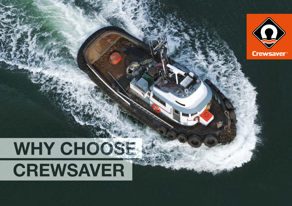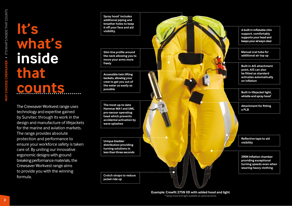## **It's what's inside that counts**

The Crewsaver Workvest range uses technology and expertise gained by Survitec through its work in the design and manufacture of lifejackets for the marine and aviation markets. The range provides absolute protection and performance to ensure your workforce safety is taken care of. By uniting our innovative ergonomic designs with ground breaking performance materials, the Crewsaver Workvest range aims to provide you with the winning formula.

**Spray hood\* includes additional piping and breather holes to keep it off your face and aid visibility**

**Slim line profile around the neck allowing you to move your arms more freely**

**Accessible twin lifting beckets, allowing your crew to get you out of the water as easily as possible**

**The most up-to date Hammar MA1 and UML pro-sensor operating head which prevents accidental activation by wave splashes** 

**visibility** Unique bladder **visibility** Unique bladder **visibility** is visibility **distribution providing turning solutions in less than three seconds**

**Crotch straps to reduce jacket ride up**   **A built in inflatable chin support, comfortably supports your head and keeps your airways clear**

**Manual oral tube for additional air top up** 

**Built in AIS attachment point, AIS can also be fitted as standard activates automatically on inflation**

...........................

**Attachment for fitting a PLB Built in lifejacket light, whistle and spray hood\***

**Reflective tape to aid** 

**290N Inflation chamber providing exceptional turning speeds even when wearing heavy clothing**

**Example: Crewfit 275N XD with added hood and light** \* Spray hood and light available as optional extras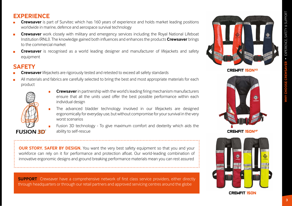## **EXPERIENCE**

- **Crewsaver** is part of Survitec which has 160 years of experience and holds market leading positions worldwide in marine, defence and aerospace survival technology
- **Crewsaver** work closely with military and emergency services including the Royal National Lifeboat Institution (RNLI). The knowledge gained both influences and enhances the products **Crewsaver** brings to the commercial market
- **Crewsaver** is recognised as a world leading designer and manufacturer of lifejackets and safety equipment

## **SAFETY**

- **Crewsaver** lifejackets are rigorously tested and retested to exceed all safety standards
- All materials and fabrics are carefully selected to bring the best and most appropriate materials for each product



- **Crewsaver** in partnership with the world's leading firing mechanism manufacturers ensure that all the units used offer the best possible performance within each individual design
- The advanced bladder technology involved in our lifejackets are designed ergonomically for everyday use, but without compromise for your survival in the very worst scenarios
- Fusion 3D technology To give maximum comfort and dexterity which aids the ability to self-rescue

**OUR STORY. SAFER BY DESIGN.** You want the very best safety equipment so that you and your workforce can rely on it for performance and protection afloat. Our world-leading combination of innovative ergonomic designs and ground breaking performance materials mean you can rest assured

**SUPPORT** Crewsaver have a comprehensive network of first class service providers, either directly through headquarters or through our retail partners and approved servicing centres around the globe



CREWFIT 15oNXD





CREWFIT 15oN